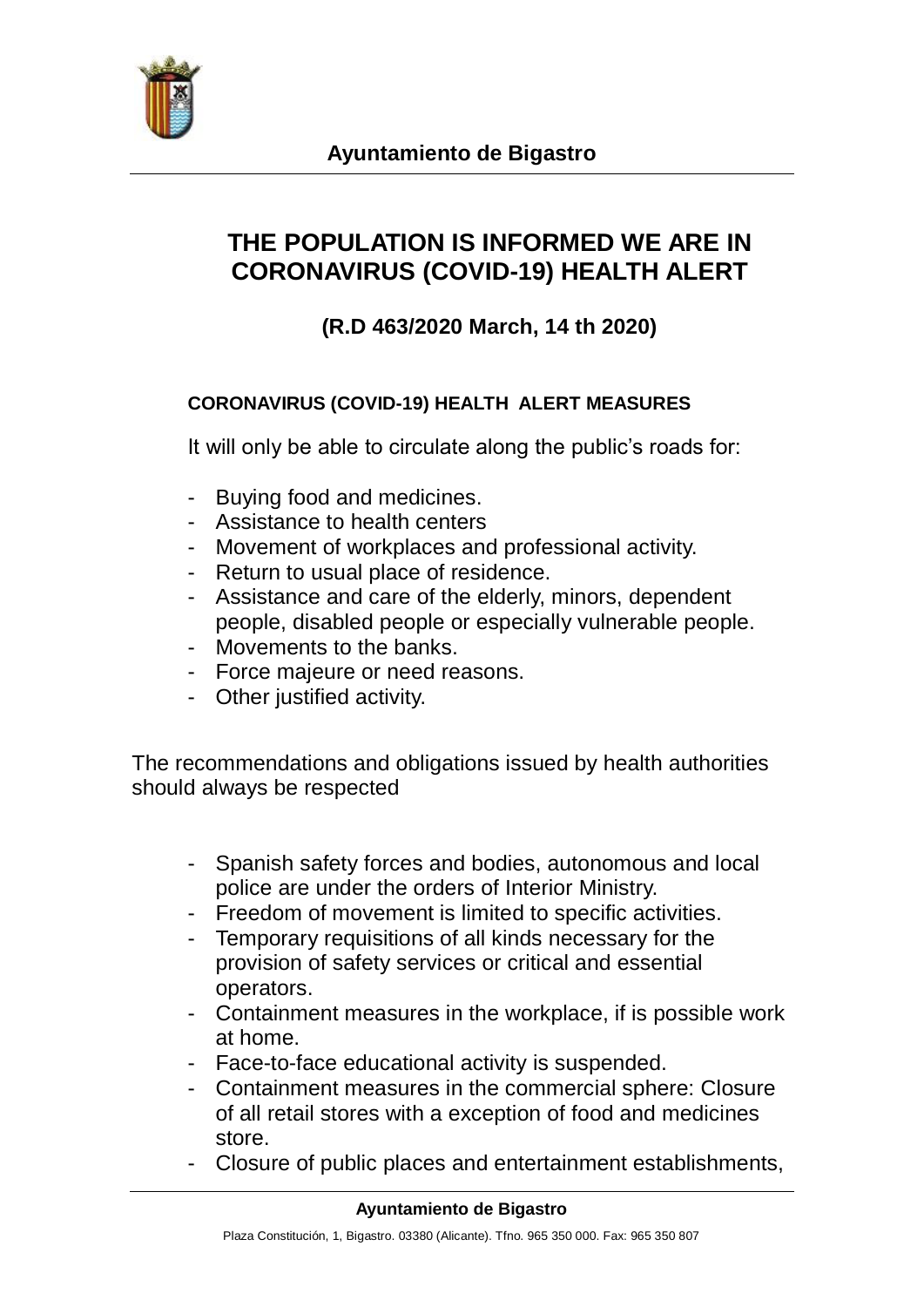

## **THE POPULATION IS INFORMED WE ARE IN CORONAVIRUS (COVID-19) HEALTH ALERT**

## **(R.D 463/2020 March, 14 th 2020)**

## **CORONAVIRUS (COVID-19) HEALTH ALERT MEASURES**

It will only be able to circulate along the public's roads for:

- Buying food and medicines.
- Assistance to health centers
- Movement of workplaces and professional activity.
- Return to usual place of residence.
- Assistance and care of the elderly, minors, dependent people, disabled people or especially vulnerable people.
- Movements to the banks.
- Force majeure or need reasons.
- Other justified activity.

The recommendations and obligations issued by health authorities should always be respected

- Spanish safety forces and bodies, autonomous and local police are under the orders of Interior Ministry.
- Freedom of movement is limited to specific activities.
- Temporary requisitions of all kinds necessary for the provision of safety services or critical and essential operators.
- Containment measures in the workplace, if is possible work at home.
- Face-to-face educational activity is suspended.
- Containment measures in the commercial sphere: Closure of all retail stores with a exception of food and medicines store.
- Closure of public places and entertainment establishments,